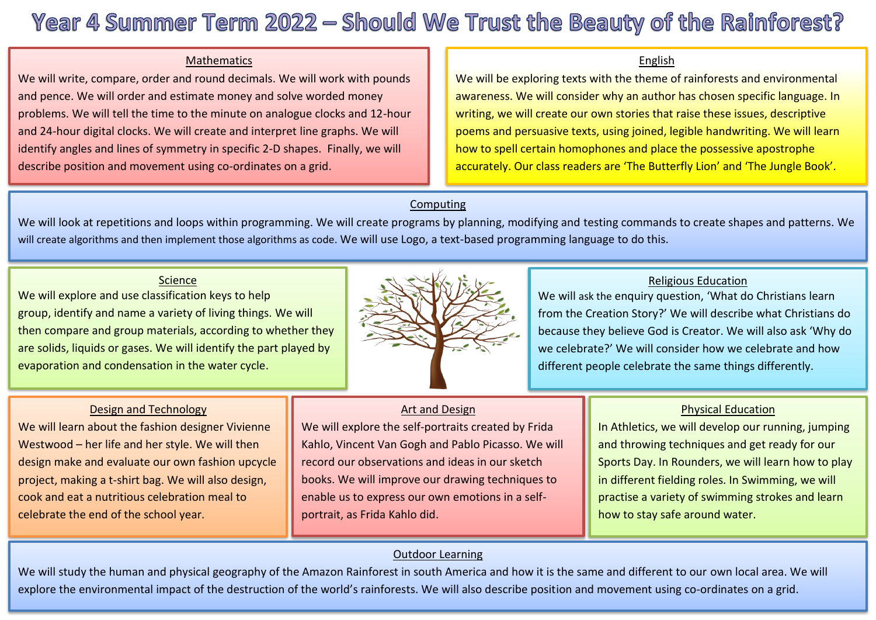# Year 4 Summer Term 2022 - Should We Trust the Beauty of the Rainforest?

#### **Mathematics**

We will write, compare, order and round decimals. We will work with pounds<br>and pence. We will order and estimate money and solve worded money problems. We will tell the time to the minute on analogue clocks and 12-hour and pence. We will order and estimate money and solve worded money and 24-hour digital clocks. We will create and interpret line graphs. We will identify angles and lines of symmetry in specific 2-D shapes. Finally, we will describe position and movement using co-ordinates on a grid.

#### English

We will be exploring texts with the theme of rainforests and environmental awareness. We will consider why an author has chosen specific language. In writing, we will create our own stories that raise these issues, descriptive poems and persuasive texts, using joined, legible handwriting. We will learn how to spell certain homophones and place the possessive apostrophe accurately. Our class readers are 'The Butterfly Lion' and 'The Jungle Book'.

## **Computing**

We will look at repetitions and loops within programming. We will create programs by planning, modifying and testing commands to create shapes and patterns. We will create algorithms and then implement those algorithms as code. We will use Logo, a text-based programming language to do this.

## Science

We will explore and use classification keys to help group, identify and name a variety of living things. We will then compare and group materials, according to whether they are solids, liquids or gases. We will identify the part played by evaporation and condensation in the water cycle.



## Religious Education

We will ask the enquiry question, 'What do Christians learn from the Creation Story?' We will describe what Christians do because they believe God is Creator. We will also ask 'Why do we celebrate?' We will consider how we celebrate and how different people celebrate the same things differently.

## Design and Technology

We will learn about the fashion designer Vivienne Westwood – her life and her style. We will then design make and evaluate our own fashion upcycle project, making a t-shirt bag. We will also design, cook and eat a nutritious celebration meal to celebrate the end of the school year.

# Art and Design

We will explore the self-portraits created by Frida Kahlo, Vincent Van Gogh and Pablo Picasso. We will record our observations and ideas in our sketch books. We will improve our drawing techniques to enable us to express our own emotions in a selfportrait, as Frida Kahlo did.

## Physical Education

In Athletics, we will develop our running, jumping and throwing techniques and get ready for our Sports Day. In Rounders, we will learn how to play in different fielding roles. In Swimming, we will practise a variety of swimming strokes and learn how to stay safe around water.

## Outdoor Learning

We will study the human and physical geography of the Amazon Rainforest in south America and how it is the same and different to our own local area. We will explore the environmental impact of the destruction of the world's rainforests. We will also describe position and movement using co-ordinates on a grid.